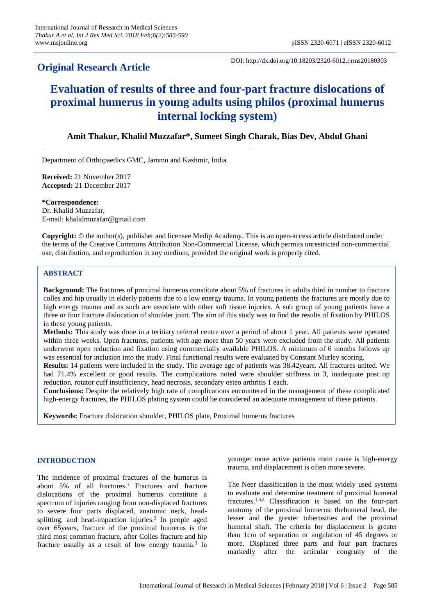## **Original Research Article**

DOI: http://dx.doi.org/10.18203/2320-6012.ijrms20180303

# **Evaluation of results of three and four-part fracture dislocations of proximal humerus in young adults using philos (proximal humerus internal locking system)**

## **Amit Thakur, Khalid Muzzafar\*, Sumeet Singh Charak, Bias Dev, Abdul Ghani**

Department of Orthopaedics GMC, Jammu and Kashmir, India

**Received:** 21 November 2017 **Accepted:** 21 December 2017

**\*Correspondence:** Dr. Khalid Muzzafar, E-mail: khalidmuzafar@gmail.com

**Copyright:** © the author(s), publisher and licensee Medip Academy. This is an open-access article distributed under the terms of the Creative Commons Attribution Non-Commercial License, which permits unrestricted non-commercial use, distribution, and reproduction in any medium, provided the original work is properly cited.

#### **ABSTRACT**

**Background:** The fractures of proximal humerus constitute about 5% of fractures in adults third in number to fracture colles and hip usually in elderly patients due to a low energy trauma. In young patients the fractures are mostly due to high energy trauma and as such are associate with other soft tissue injuries. A sub group of young patients have a three or four fracture dislocation of shoulder joint. The aim of this study was to find the results of fixation by PHILOS in these young patients.

**Methods:** This study was done in a teritiary referral centre over a period of about 1 year. All patients were operated within three weeks. Open fractures, patients with age more than 50 years were excluded from the study. All patients underwent open reduction and fixation using commercially available PHILOS. A minimum of 6 months follows up was essential for inclusion into the study. Final functional results were evaluated by Constant Murley scoring.

**Results:** 14 patients were included in the study. The average age of patients was 38.42years. All fractures united. We had 71.4% excellent or good results. The complications noted were shoulder stiffness in 3, inadequate post op reduction, rotator cuff insufficiency, head necrosis, secondary osteo arthritis 1 each.

**Conclusions:** Despite the relatively high rate of complications encountered in the management of these complicated high-energy fractures, the PHILOS plating system could be considered an adequate management of these patients.

**Keywords:** Fracture dislocation shoulder, PHILOS plate, Proximal humerus fractures

### **INTRODUCTION**

The incidence of proximal fractures of the humerus is about 5% of all fractures. <sup>1</sup> Fractures and fracture dislocations of the proximal humerus constitute a spectrum of injuries ranging from non-displaced fractures to severe four parts displaced, anatomic neck, headsplitting, and head-impaction injuries.<sup>2</sup> In people aged over 65years, fracture of the proximal humerus is the third most common fracture, after Colles fracture and hip fracture usually as a result of low energy trauma.<sup>3</sup> In

younger more active patients main cause is high-energy trauma, and displacement is often more severe.

The Neer classification is the most widely used systems to evaluate and determine treatment of proximal humeral fractures. 1,3,4 Classification is based on the four-part anatomy of the proximal humerus: thehumeral head, the lesser and the greater tuberosities and the proximal humeral shaft. The criteria for displacement is greater than 1cm of separation or angulation of 45 degrees or more. Displaced three parts and four part fractures markedly alter the articular congruity of the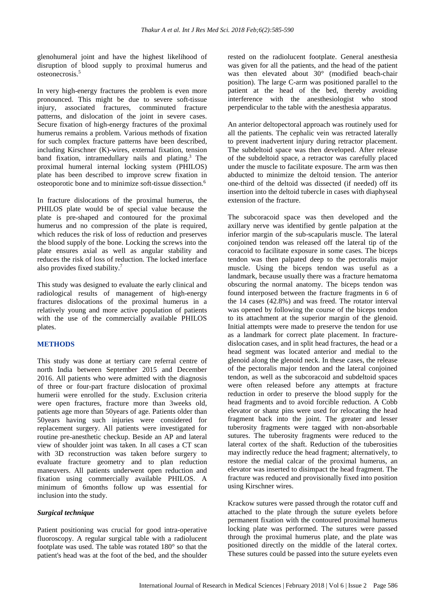glenohumeral joint and have the highest likelihood of disruption of blood supply to proximal humerus and osteonecrosis. 5

In very high-energy fractures the problem is even more pronounced. This might be due to severe soft-tissue injury, associated fractures, comminuted fracture patterns, and dislocation of the joint in severe cases. Secure fixation of high-energy fractures of the proximal humerus remains a problem. Various methods of fixation for such complex fracture patterns have been described, including Kirschner (K)-wires, external fixation, tension band fixation, intramedullary nails and plating. <sup>3</sup> The proximal humeral internal locking system (PHILOS) plate has been described to improve screw fixation in osteoporotic bone and to minimize soft-tissue dissection. 6

In fracture dislocations of the proximal humerus, the PHILOS plate would be of special value because the plate is pre-shaped and contoured for the proximal humerus and no compression of the plate is required, which reduces the risk of loss of reduction and preserves the blood supply of the bone. Locking the screws into the plate ensures axial as well as angular stability and reduces the risk of loss of reduction. The locked interface also provides fixed stability. 7

This study was designed to evaluate the early clinical and radiological results of management of high-energy fractures dislocations of the proximal humerus in a relatively young and more active population of patients with the use of the commercially available PHILOS plates.

#### **METHODS**

This study was done at tertiary care referral centre of north India between September 2015 and December 2016. All patients who were admitted with the diagnosis of three or four-part fracture dislocation of proximal humerii were enrolled for the study. Exclusion criteria were open fractures, fracture more than 3weeks old, patients age more than 50years of age. Patients older than 50years having such injuries were considered for replacement surgery. All patients were investigated for routine pre-anesthetic checkup. Beside an AP and lateral view of shoulder joint was taken. In all cases a CT scan with 3D reconstruction was taken before surgery to evaluate fracture geometry and to plan reduction maneuvers. All patients underwent open reduction and fixation using commercially available PHILOS. A minimum of 6months follow up was essential for inclusion into the study.

#### *Surgical technique*

Patient positioning was crucial for good intra-operative fluoroscopy. A regular surgical table with a radiolucent footplate was used. The table was rotated 180° so that the patient's head was at the foot of the bed, and the shoulder rested on the radiolucent footplate. General anesthesia was given for all the patients, and the head of the patient was then elevated about 30° (modified beach-chair position). The large C-arm was positioned parallel to the patient at the head of the bed, thereby avoiding interference with the anesthesiologist who stood perpendicular to the table with the anesthesia apparatus.

An anterior deltopectoral approach was routinely used for all the patients. The cephalic vein was retracted laterally to prevent inadvertent injury during retractor placement. The subdeltoid space was then developed. After release of the subdeltoid space, a retractor was carefully placed under the muscle to facilitate exposure. The arm was then abducted to minimize the deltoid tension. The anterior one-third of the deltoid was dissected (if needed) off its insertion into the deltoid tubercle in cases with diaphyseal extension of the fracture.

The subcoracoid space was then developed and the axillary nerve was identified by gentle palpation at the inferior margin of the sub-scapularis muscle. The lateral conjoined tendon was released off the lateral tip of the coracoid to facilitate exposure in some cases. The biceps tendon was then palpated deep to the pectoralis major muscle. Using the biceps tendon was useful as a landmark, because usually there was a fracture hematoma obscuring the normal anatomy. The biceps tendon was found interposed between the fracture fragments in 6 of the 14 cases (42.8%) and was freed. The rotator interval was opened by following the course of the biceps tendon to its attachment at the superior margin of the glenoid. Initial attempts were made to preserve the tendon for use as a landmark for correct plate placement. In fracturedislocation cases, and in split head fractures, the head or a head segment was located anterior and medial to the glenoid along the glenoid neck. In these cases, the release of the pectoralis major tendon and the lateral conjoined tendon, as well as the subcoracoid and subdeltoid spaces were often released before any attempts at fracture reduction in order to preserve the blood supply for the head fragments and to avoid forcible reduction. A Cobb elevator or shanz pins were used for relocating the head fragment back into the joint. The greater and lesser tuberosity fragments were tagged with non-absorbable sutures. The tuberosity fragments were reduced to the lateral cortex of the shaft. Reduction of the tuberosities may indirectly reduce the head fragment; alternatively, to restore the medial calcar of the proximal humerus, an elevator was inserted to disimpact the head fragment. The fracture was reduced and provisionally fixed into position using Kirschner wires.

Krackow sutures were passed through the rotator cuff and attached to the plate through the suture eyelets before permanent fixation with the contoured proximal humerus locking plate was performed. The sutures were passed through the proximal humerus plate, and the plate was positioned directly on the middle of the lateral cortex. These sutures could be passed into the suture eyelets even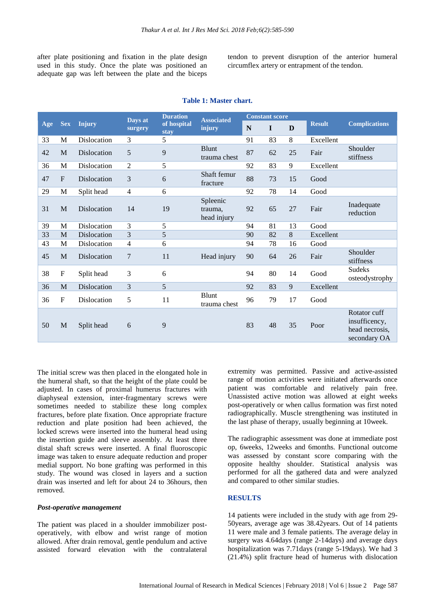after plate positioning and fixation in the plate design used in this study. Once the plate was positioned an adequate gap was left between the plate and the biceps

tendon to prevent disruption of the anterior humeral circumflex artery or entrapment of the tendon.

| Age | <b>Sex</b>   | <b>Injury</b>      | Days at<br>surgery | <b>Duration</b><br>of hospital<br>stay | <b>Associated</b><br>injury        | <b>Constant score</b> |             |    |               |                                                                 |
|-----|--------------|--------------------|--------------------|----------------------------------------|------------------------------------|-----------------------|-------------|----|---------------|-----------------------------------------------------------------|
|     |              |                    |                    |                                        |                                    | $\mathbf N$           | $\mathbf I$ | D  | <b>Result</b> | <b>Complications</b>                                            |
| 33  | M            | Dislocation        | 3                  | 5                                      |                                    | 91                    | 83          | 8  | Excellent     |                                                                 |
| 42  | M            | Dislocation        | 5                  | 9                                      | <b>Blunt</b><br>trauma chest       | 87                    | 62          | 25 | Fair          | Shoulder<br>stiffness                                           |
| 36  | M            | <b>Dislocation</b> | $\overline{c}$     | 5                                      |                                    | 92                    | 83          | 9  | Excellent     |                                                                 |
| 47  | $\mathbf{F}$ | Dislocation        | 3                  | 6                                      | Shaft femur<br>fracture            | 88                    | 73          | 15 | Good          |                                                                 |
| 29  | M            | Split head         | $\overline{4}$     | 6                                      |                                    | 92                    | 78          | 14 | Good          |                                                                 |
| 31  | M            | Dislocation        | 14                 | 19                                     | Spleenic<br>trauma.<br>head injury | 92                    | 65          | 27 | Fair          | Inadequate<br>reduction                                         |
| 39  | M            | <b>Dislocation</b> | 3                  | 5                                      |                                    | 94                    | 81          | 13 | Good          |                                                                 |
| 33  | M            | Dislocation        | 3                  | 5                                      |                                    | 90                    | 82          | 8  | Excellent     |                                                                 |
| 43  | M            | Dislocation        | $\overline{4}$     | 6                                      |                                    | 94                    | 78          | 16 | Good          |                                                                 |
| 45  | M            | Dislocation        | 7                  | 11                                     | Head injury                        | 90                    | 64          | 26 | Fair          | Shoulder<br>stiffness                                           |
| 38  | F            | Split head         | 3                  | 6                                      |                                    | 94                    | 80          | 14 | Good          | <b>Sudeks</b><br>osteodystrophy                                 |
| 36  | M            | Dislocation        | 3                  | 5                                      |                                    | 92                    | 83          | 9  | Excellent     |                                                                 |
| 36  | $\mathbf{F}$ | <b>Dislocation</b> | 5                  | 11                                     | <b>Blunt</b><br>trauma chest       | 96                    | 79          | 17 | Good          |                                                                 |
| 50  | M            | Split head         | 6                  | 9                                      |                                    | 83                    | 48          | 35 | Poor          | Rotator cuff<br>insufficency,<br>head necrosis,<br>secondary OA |

#### **Table 1: Master chart.**

The initial screw was then placed in the elongated hole in the humeral shaft, so that the height of the plate could be adjusted. In cases of proximal humerus fractures with diaphyseal extension, inter-fragmentary screws were sometimes needed to stabilize these long complex fractures, before plate fixation. Once appropriate fracture reduction and plate position had been achieved, the locked screws were inserted into the humeral head using the insertion guide and sleeve assembly. At least three distal shaft screws were inserted. A final fluoroscopic image was taken to ensure adequate reduction and proper medial support. No bone grafting was performed in this study. The wound was closed in layers and a suction drain was inserted and left for about 24 to 36hours, then removed.

#### *Post-operative management*

The patient was placed in a shoulder immobilizer postoperatively, with elbow and wrist range of motion allowed. After drain removal, gentle pendulum and active assisted forward elevation with the contralateral extremity was permitted. Passive and active-assisted range of motion activities were initiated afterwards once patient was comfortable and relatively pain free. Unassisted active motion was allowed at eight weeks post-operatively or when callus formation was first noted radiographically. Muscle strengthening was instituted in the last phase of therapy, usually beginning at 10week.

The radiographic assessment was done at immediate post op, 6weeks, 12weeks and 6months. Functional outcome was assessed by constant score comparing with the opposite healthy shoulder. Statistical analysis was performed for all the gathered data and were analyzed and compared to other similar studies.

#### **RESULTS**

14 patients were included in the study with age from 29- 50years, average age was 38.42years. Out of 14 patients 11 were male and 3 female patients. The average delay in surgery was 4.64days (range 2-14days) and average days hospitalization was 7.71days (range 5-19days). We had 3 (21.4%) split fracture head of humerus with dislocation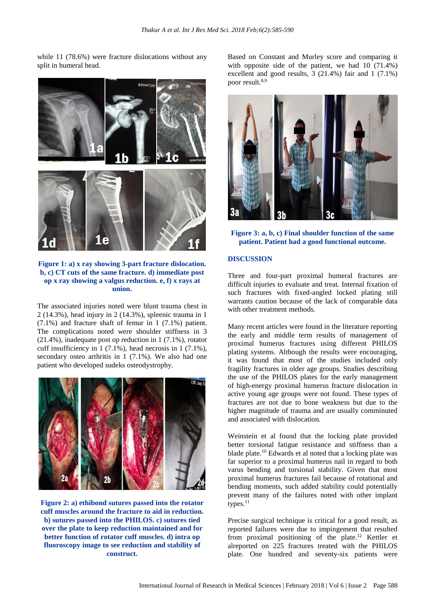while 11 (78.6%) were fracture dislocations without any split in humeral head.



**Figure 1: a) x ray showing 3-part fracture dislocation. b, c) CT cuts of the same fracture. d) immediate post op x ray showing a valgus reduction. e, f) x rays at union.**

The associated injuries noted were blunt trauma chest in 2 (14.3%), head injury in 2 (14.3%), spleenic trauma in 1 (7.1%) and fracture shaft of femur in 1 (7.1%) patient. The complications noted were shoulder stiffness in 3 (21.4%), inadequate post op reduction in 1 (7.1%), rotator cuff insufficiency in 1 (7.1%), head necrosis in 1 (7.1%), secondary osteo arthritis in 1 (7.1%). We also had one patient who developed sudeks osteodystrophy.



**Figure 2: a) ethibond sutures passed into the rotator cuff muscles around the fracture to aid in reduction. b) sutures passed into the PHILOS. c) sutures tied over the plate to keep reduction maintained and for better function of rotator cuff muscles. d) intra op fluoroscopy image to see reduction and stability of construct.**

Based on Constant and Murley score and comparing it with opposite side of the patient, we had 10 (71.4%) excellent and good results, 3 (21.4%) fair and 1 (7.1%) poor result. 8,9



**Figure 3: a, b, c) Final shoulder function of the same patient. Patient had a good functional outcome.**

#### **DISCUSSION**

Three and four-part proximal humeral fractures are difficult injuries to evaluate and treat. Internal fixation of such fractures with fixed-angled locked plating still warrants caution because of the lack of comparable data with other treatment methods.

Many recent articles were found in the literature reporting the early and middle term results of management of proximal humerus fractures using different PHILOS plating systems. Although the results were encouraging, it was found that most of the studies included only fragility fractures in older age groups. Studies describing the use of the PHILOS plates for the early management of high-energy proximal humerus fracture dislocation in active young age groups were not found. These types of fractures are not due to bone weakness but due to the higher magnitude of trauma and are usually comminuted and associated with dislocation.

Weinstein et al found that the locking plate provided better torsional fatigue resistance and stiffness than a blade plate. <sup>10</sup> Edwards et al noted that a locking plate was far superior to a proximal humerus nail in regard to both varus bending and torsional stability. Given that most proximal humerus fractures fail because of rotational and bending moments, such added stability could potentially prevent many of the failures noted with other implant types.<sup>11</sup>

Precise surgical technique is critical for a good result, as reported failures were due to impingement that resulted from proximal positioning of the plate. <sup>12</sup> Kettler et alreported on 225 fractures treated with the PHILOS plate. One hundred and seventy-six patients were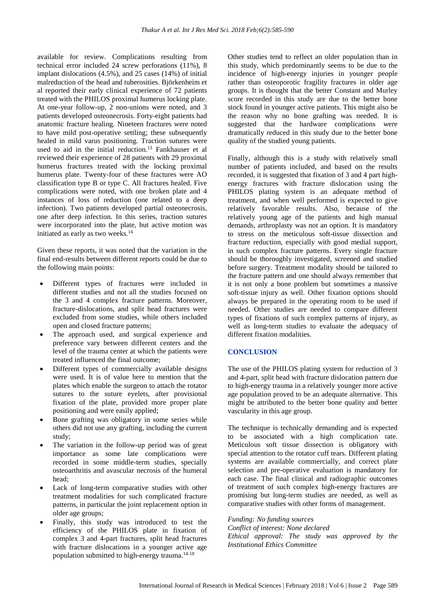available for review. Complications resulting from technical error included 24 screw perforations (11%), 8 implant dislocations (4.5%), and 25 cases (14%) of initial malreduction of the head and tuberosities. Björkenheim et al reported their early clinical experience of 72 patients treated with the PHILOS proximal humerus locking plate. At one-year follow-up, 2 non-unions were noted, and 3 patients developed osteonecrosis. Forty-eight patients had anatomic fracture healing. Nineteen fractures were noted to have mild post-operative settling; these subsequently healed in mild varus positioning. Traction sutures were used to aid in the initial reduction. <sup>13</sup> Fankhauser et al reviewed their experience of 28 patients with 29 proximal humerus fractures treated with the locking proximal humerus plate. Twenty-four of these fractures were AO classification type B or type C. All fractures healed. Five complications were noted, with one broken plate and 4 instances of loss of reduction (one related to a deep infection). Two patients developed partial osteonecrosis, one after deep infection. In this series, traction sutures were incorporated into the plate, but active motion was initiated as early as two weeks. 14

Given these reports, it was noted that the variation in the final end-results between different reports could be due to the following main points:

- Different types of fractures were included in different studies and not all the studies focused on the 3 and 4 complex fracture patterns. Moreover, fracture-dislocations, and split head fractures were excluded from some studies, while others included open and closed fracture patterns;
- The approach used, and surgical experience and preference vary between different centers and the level of the trauma center at which the patients were treated influenced the final outcome;
- Different types of commercially available designs were used. It is of value here to mention that the plates which enable the surgeon to attach the rotator sutures to the suture eyelets, after provisional fixation of the plate, provided more proper plate positioning and were easily applied;
- Bone grafting was obligatory in some series while others did not use any grafting, including the current study;
- The variation in the follow-up period was of great importance as some late complications were recorded in some middle-term studies, specially osteoarthritis and avascular necrosis of the humeral head;
- Lack of long-term comparative studies with other treatment modalities for such complicated fracture patterns, in particular the joint replacement option in older age groups;
- Finally, this study was introduced to test the efficiency of the PHILOS plate in fixation of complex 3 and 4-part fractures, split head fractures with fracture dislocations in a younger active age population submitted to high-energy trauma.<sup>14-18</sup>

Other studies tend to reflect an older population than in this study, which predominantly seems to be due to the incidence of high-energy injuries in younger people rather than osteoporotic fragility fractures in older age groups. It is thought that the better Constant and Murley score recorded in this study are due to the better bone stock found in younger active patients. This might also be the reason why no bone grafting was needed. It is suggested that the hardware complications were dramatically reduced in this study due to the better bone quality of the studied young patients.

Finally, although this is a study with relatively small number of patients included, and based on the results recorded, it is suggested that fixation of 3 and 4 part highenergy fractures with fracture dislocation using the PHILOS plating system is an adequate method of treatment, and when well performed is expected to give relatively favorable results. Also, because of the relatively young age of the patients and high manual demands, arthroplasty was not an option. It is mandatory to stress on the meticulous soft-tissue dissection and fracture reduction, especially with good medial support, in such complex fracture patterns. Every single fracture should be thoroughly investigated, screened and studied before surgery. Treatment modality should be tailored to the fracture pattern and one should always remember that it is not only a bone problem but sometimes a massive soft-tissue injury as well. Other fixation options should always be prepared in the operating room to be used if needed. Other studies are needed to compare different types of fixations of such complex patterns of injury, as well as long-term studies to evaluate the adequacy of different fixation modalities.

#### **CONCLUSION**

The use of the PHILOS plating system for reduction of 3 and 4-part, split head with fracture dislocation pattern due to high-energy trauma in a relatively younger more active age population proved to be an adequate alternative. This might be attributed to the better bone quality and better vascularity in this age group.

The technique is technically demanding and is expected to be associated with a high complication rate. Meticulous soft tissue dissection is obligatory with special attention to the rotator cuff tears. Different plating systems are available commercially, and correct plate selection and pre-operative evaluation is mandatory for each case. The final clinical and radiographic outcomes of treatment of such complex high-energy fractures are promising but long-term studies are needed, as well as comparative studies with other forms of management.

*Funding: No funding sources Conflict of interest: None declared Ethical approval: The study was approved by the Institutional Ethics Committee*